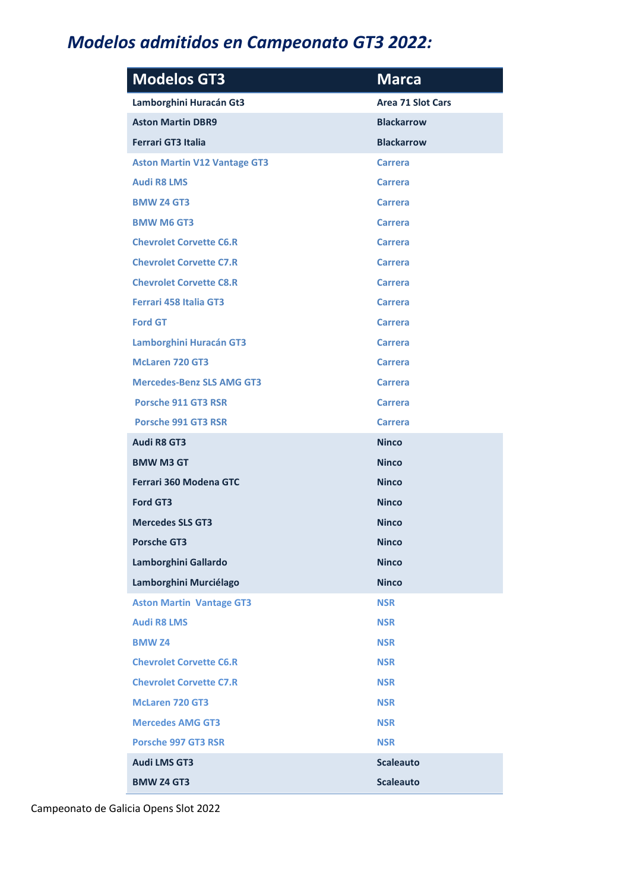## Modelos admitidos en Campeonato GT3 2022:

| <b>Modelos GT3</b>                  | <b>Marca</b>             |
|-------------------------------------|--------------------------|
| Lamborghini Huracán Gt3             | <b>Area 71 Slot Cars</b> |
| <b>Aston Martin DBR9</b>            | <b>Blackarrow</b>        |
| <b>Ferrari GT3 Italia</b>           | <b>Blackarrow</b>        |
| <b>Aston Martin V12 Vantage GT3</b> | <b>Carrera</b>           |
| <b>Audi R8 LMS</b>                  | <b>Carrera</b>           |
| <b>BMW Z4 GT3</b>                   | <b>Carrera</b>           |
| <b>BMW M6 GT3</b>                   | <b>Carrera</b>           |
| <b>Chevrolet Corvette C6.R</b>      | <b>Carrera</b>           |
| <b>Chevrolet Corvette C7.R</b>      | <b>Carrera</b>           |
| <b>Chevrolet Corvette C8.R</b>      | <b>Carrera</b>           |
| <b>Ferrari 458 Italia GT3</b>       | <b>Carrera</b>           |
| <b>Ford GT</b>                      | <b>Carrera</b>           |
| <b>Lamborghini Huracán GT3</b>      | <b>Carrera</b>           |
| <b>McLaren 720 GT3</b>              | <b>Carrera</b>           |
| <b>Mercedes-Benz SLS AMG GT3</b>    | <b>Carrera</b>           |
| <b>Porsche 911 GT3 RSR</b>          | <b>Carrera</b>           |
| <b>Porsche 991 GT3 RSR</b>          | <b>Carrera</b>           |
| <b>Audi R8 GT3</b>                  | <b>Ninco</b>             |
| <b>BMW M3 GT</b>                    | <b>Ninco</b>             |
| Ferrari 360 Modena GTC              | <b>Ninco</b>             |
| <b>Ford GT3</b>                     | <b>Ninco</b>             |
| <b>Mercedes SLS GT3</b>             | <b>Ninco</b>             |
| <b>Porsche GT3</b>                  | <b>Ninco</b>             |
| Lamborghini Gallardo                | <b>Ninco</b>             |
| Lamborghini Murciélago              | <b>Ninco</b>             |
| <b>Aston Martin Vantage GT3</b>     | <b>NSR</b>               |
| <b>Audi R8 LMS</b>                  | <b>NSR</b>               |
| <b>BMW Z4</b>                       | <b>NSR</b>               |
| <b>Chevrolet Corvette C6.R</b>      | <b>NSR</b>               |
| <b>Chevrolet Corvette C7.R</b>      | <b>NSR</b>               |
| <b>McLaren 720 GT3</b>              | <b>NSR</b>               |
| <b>Mercedes AMG GT3</b>             | <b>NSR</b>               |
| <b>Porsche 997 GT3 RSR</b>          | <b>NSR</b>               |
| <b>Audi LMS GT3</b>                 | <b>Scaleauto</b>         |
| <b>BMW Z4 GT3</b>                   | <b>Scaleauto</b>         |

Campeonato de Galicia Opens Slot 2022